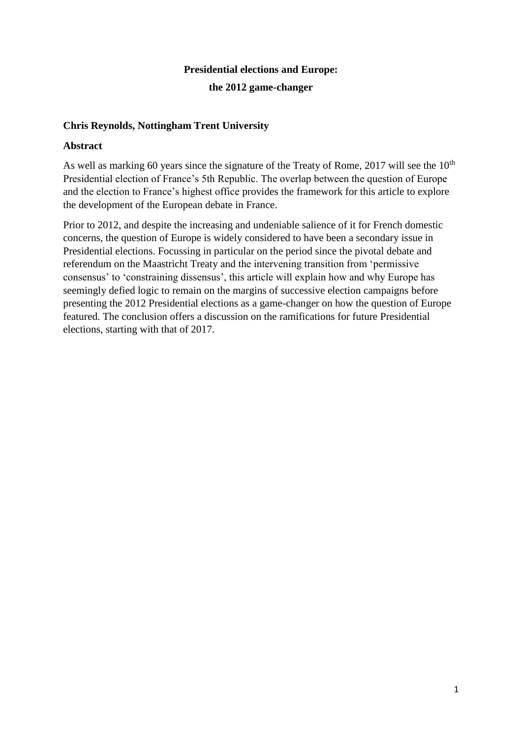## **Presidential elections and Europe:**

## **the 2012 game-changer**

# **Chris Reynolds, Nottingham Trent University**

## **Abstract**

As well as marking 60 years since the signature of the Treaty of Rome, 2017 will see the  $10<sup>th</sup>$ Presidential election of France's 5th Republic. The overlap between the question of Europe and the election to France's highest office provides the framework for this article to explore the development of the European debate in France.

Prior to 2012, and despite the increasing and undeniable salience of it for French domestic concerns, the question of Europe is widely considered to have been a secondary issue in Presidential elections. Focussing in particular on the period since the pivotal debate and referendum on the Maastricht Treaty and the intervening transition from 'permissive consensus' to 'constraining dissensus', this article will explain how and why Europe has seemingly defied logic to remain on the margins of successive election campaigns before presenting the 2012 Presidential elections as a game-changer on how the question of Europe featured. The conclusion offers a discussion on the ramifications for future Presidential elections, starting with that of 2017.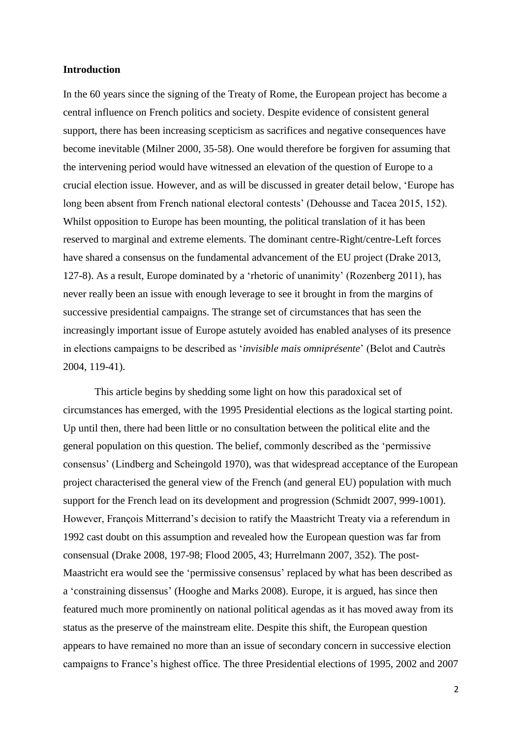### **Introduction**

In the 60 years since the signing of the Treaty of Rome, the European project has become a central influence on French politics and society. Despite evidence of consistent general support, there has been increasing scepticism as sacrifices and negative consequences have become inevitable (Milner 2000, 35-58). One would therefore be forgiven for assuming that the intervening period would have witnessed an elevation of the question of Europe to a crucial election issue. However, and as will be discussed in greater detail below, 'Europe has long been absent from French national electoral contests' (Dehousse and Tacea 2015, 152). Whilst opposition to Europe has been mounting, the political translation of it has been reserved to marginal and extreme elements. The dominant centre-Right/centre-Left forces have shared a consensus on the fundamental advancement of the EU project (Drake 2013, 127-8). As a result, Europe dominated by a 'rhetoric of unanimity' (Rozenberg 2011), has never really been an issue with enough leverage to see it brought in from the margins of successive presidential campaigns. The strange set of circumstances that has seen the increasingly important issue of Europe astutely avoided has enabled analyses of its presence in elections campaigns to be described as '*invisible mais omniprésente*' (Belot and Cautrès 2004, 119-41).

This article begins by shedding some light on how this paradoxical set of circumstances has emerged, with the 1995 Presidential elections as the logical starting point. Up until then, there had been little or no consultation between the political elite and the general population on this question. The belief, commonly described as the 'permissive consensus' (Lindberg and Scheingold 1970), was that widespread acceptance of the European project characterised the general view of the French (and general EU) population with much support for the French lead on its development and progression (Schmidt 2007, 999-1001). However, François Mitterrand's decision to ratify the Maastricht Treaty via a referendum in 1992 cast doubt on this assumption and revealed how the European question was far from consensual (Drake 2008, 197-98; Flood 2005, 43; Hurrelmann 2007, 352). The post-Maastricht era would see the 'permissive consensus' replaced by what has been described as a 'constraining dissensus' (Hooghe and Marks 2008). Europe, it is argued, has since then featured much more prominently on national political agendas as it has moved away from its status as the preserve of the mainstream elite. Despite this shift, the European question appears to have remained no more than an issue of secondary concern in successive election campaigns to France's highest office. The three Presidential elections of 1995, 2002 and 2007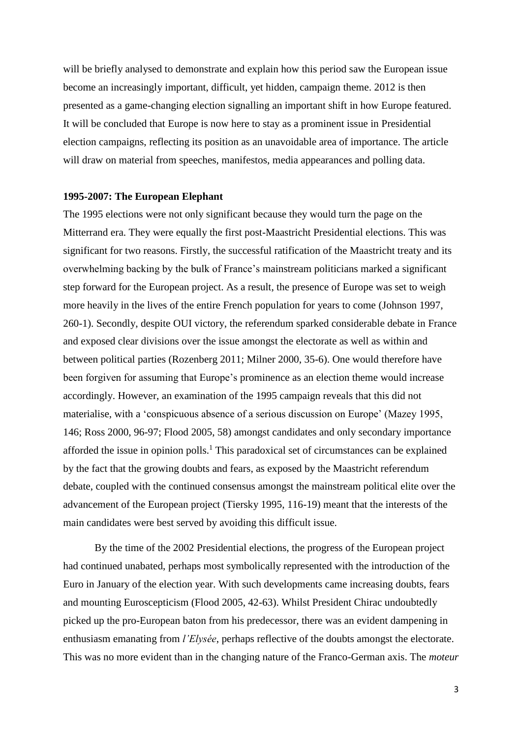will be briefly analysed to demonstrate and explain how this period saw the European issue become an increasingly important, difficult, yet hidden, campaign theme. 2012 is then presented as a game-changing election signalling an important shift in how Europe featured. It will be concluded that Europe is now here to stay as a prominent issue in Presidential election campaigns, reflecting its position as an unavoidable area of importance. The article will draw on material from speeches, manifestos, media appearances and polling data.

#### **1995-2007: The European Elephant**

The 1995 elections were not only significant because they would turn the page on the Mitterrand era. They were equally the first post-Maastricht Presidential elections. This was significant for two reasons. Firstly, the successful ratification of the Maastricht treaty and its overwhelming backing by the bulk of France's mainstream politicians marked a significant step forward for the European project. As a result, the presence of Europe was set to weigh more heavily in the lives of the entire French population for years to come (Johnson 1997, 260-1). Secondly, despite OUI victory, the referendum sparked considerable debate in France and exposed clear divisions over the issue amongst the electorate as well as within and between political parties (Rozenberg 2011; Milner 2000, 35-6). One would therefore have been forgiven for assuming that Europe's prominence as an election theme would increase accordingly. However, an examination of the 1995 campaign reveals that this did not materialise, with a 'conspicuous absence of a serious discussion on Europe' (Mazey 1995, 146; Ross 2000, 96-97; Flood 2005, 58) amongst candidates and only secondary importance afforded the issue in opinion polls.<sup>1</sup> This paradoxical set of circumstances can be explained by the fact that the growing doubts and fears, as exposed by the Maastricht referendum debate, coupled with the continued consensus amongst the mainstream political elite over the advancement of the European project (Tiersky 1995, 116-19) meant that the interests of the main candidates were best served by avoiding this difficult issue.

By the time of the 2002 Presidential elections, the progress of the European project had continued unabated, perhaps most symbolically represented with the introduction of the Euro in January of the election year. With such developments came increasing doubts, fears and mounting Euroscepticism (Flood 2005, 42-63). Whilst President Chirac undoubtedly picked up the pro-European baton from his predecessor, there was an evident dampening in enthusiasm emanating from *l'Elysée*, perhaps reflective of the doubts amongst the electorate. This was no more evident than in the changing nature of the Franco-German axis. The *moteur*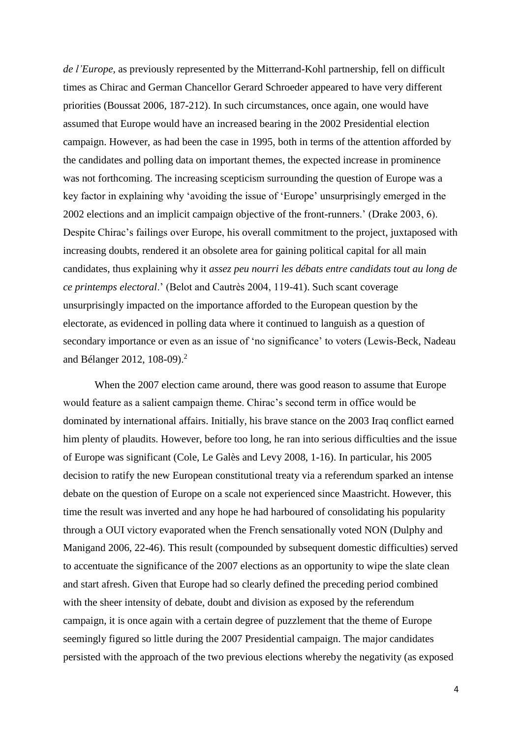*de l'Europe,* as previously represented by the Mitterrand-Kohl partnership, fell on difficult times as Chirac and German Chancellor Gerard Schroeder appeared to have very different priorities (Boussat 2006, 187-212). In such circumstances, once again, one would have assumed that Europe would have an increased bearing in the 2002 Presidential election campaign. However, as had been the case in 1995, both in terms of the attention afforded by the candidates and polling data on important themes, the expected increase in prominence was not forthcoming. The increasing scepticism surrounding the question of Europe was a key factor in explaining why 'avoiding the issue of 'Europe' unsurprisingly emerged in the 2002 elections and an implicit campaign objective of the front-runners.' (Drake 2003, 6). Despite Chirac's failings over Europe, his overall commitment to the project, juxtaposed with increasing doubts, rendered it an obsolete area for gaining political capital for all main candidates, thus explaining why it *assez peu nourri les débats entre candidats tout au long de ce printemps electoral*.' (Belot and Cautrès 2004, 119-41). Such scant coverage unsurprisingly impacted on the importance afforded to the European question by the electorate, as evidenced in polling data where it continued to languish as a question of secondary importance or even as an issue of 'no significance' to voters (Lewis-Beck, Nadeau and Bélanger 2012, 108-09).<sup>2</sup>

When the 2007 election came around, there was good reason to assume that Europe would feature as a salient campaign theme. Chirac's second term in office would be dominated by international affairs. Initially, his brave stance on the 2003 Iraq conflict earned him plenty of plaudits. However, before too long, he ran into serious difficulties and the issue of Europe was significant (Cole, Le Galès and Levy 2008, 1-16). In particular, his 2005 decision to ratify the new European constitutional treaty via a referendum sparked an intense debate on the question of Europe on a scale not experienced since Maastricht. However, this time the result was inverted and any hope he had harboured of consolidating his popularity through a OUI victory evaporated when the French sensationally voted NON (Dulphy and Manigand 2006, 22-46). This result (compounded by subsequent domestic difficulties) served to accentuate the significance of the 2007 elections as an opportunity to wipe the slate clean and start afresh. Given that Europe had so clearly defined the preceding period combined with the sheer intensity of debate, doubt and division as exposed by the referendum campaign, it is once again with a certain degree of puzzlement that the theme of Europe seemingly figured so little during the 2007 Presidential campaign. The major candidates persisted with the approach of the two previous elections whereby the negativity (as exposed

4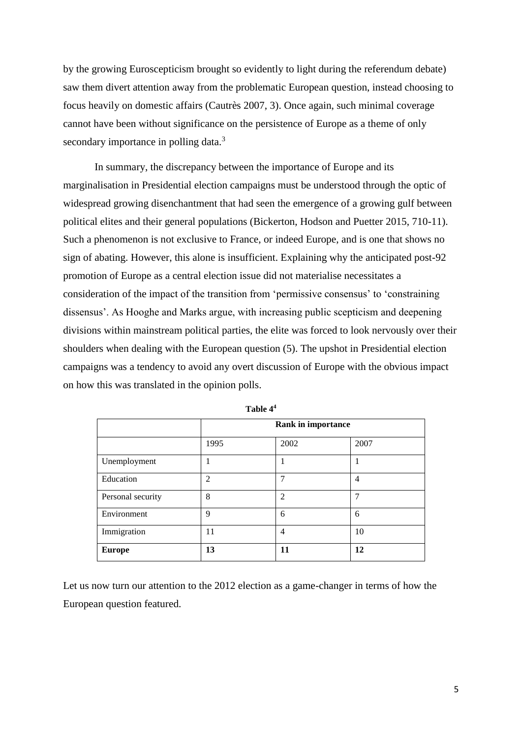by the growing Euroscepticism brought so evidently to light during the referendum debate) saw them divert attention away from the problematic European question, instead choosing to focus heavily on domestic affairs (Cautrès 2007, 3). Once again, such minimal coverage cannot have been without significance on the persistence of Europe as a theme of only secondary importance in polling data.<sup>3</sup>

In summary, the discrepancy between the importance of Europe and its marginalisation in Presidential election campaigns must be understood through the optic of widespread growing disenchantment that had seen the emergence of a growing gulf between political elites and their general populations (Bickerton, Hodson and Puetter 2015, 710-11). Such a phenomenon is not exclusive to France, or indeed Europe, and is one that shows no sign of abating. However, this alone is insufficient. Explaining why the anticipated post-92 promotion of Europe as a central election issue did not materialise necessitates a consideration of the impact of the transition from 'permissive consensus' to 'constraining dissensus'. As Hooghe and Marks argue, with increasing public scepticism and deepening divisions within mainstream political parties, the elite was forced to look nervously over their shoulders when dealing with the European question (5). The upshot in Presidential election campaigns was a tendency to avoid any overt discussion of Europe with the obvious impact on how this was translated in the opinion polls.

|                   | <b>Rank in importance</b> |                |                |  |
|-------------------|---------------------------|----------------|----------------|--|
|                   | 1995                      | 2002           | 2007           |  |
| Unemployment      |                           |                |                |  |
| Education         | $\mathfrak{D}$            | 7              | $\overline{4}$ |  |
| Personal security | 8                         | $\overline{2}$ |                |  |
| Environment       | $\mathbf Q$               | 6              | 6              |  |
| Immigration       | 11                        | 4              | 10             |  |
| <b>Europe</b>     | 13                        | 11             | 12             |  |

| 'able | 4 |
|-------|---|
|-------|---|

Let us now turn our attention to the 2012 election as a game-changer in terms of how the European question featured.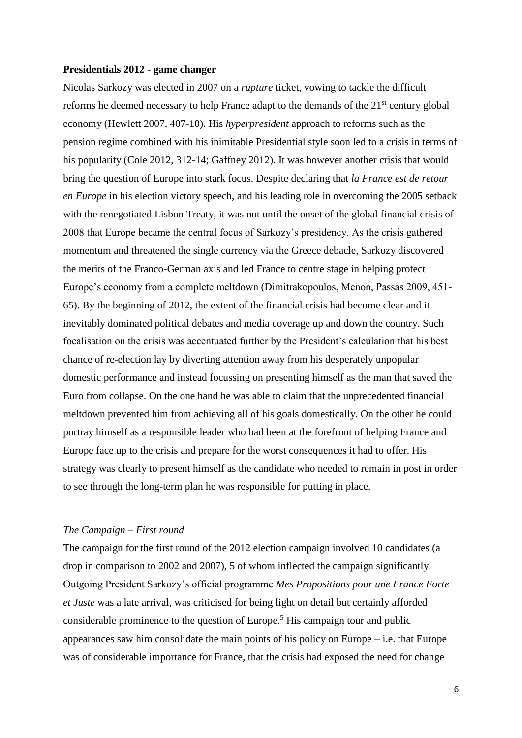### **Presidentials 2012 - game changer**

Nicolas Sarkozy was elected in 2007 on a *rupture* ticket, vowing to tackle the difficult reforms he deemed necessary to help France adapt to the demands of the 21<sup>st</sup> century global economy (Hewlett 2007, 407-10). His *hyperpresident* approach to reforms such as the pension regime combined with his inimitable Presidential style soon led to a crisis in terms of his popularity (Cole 2012, 312-14; Gaffney 2012). It was however another crisis that would bring the question of Europe into stark focus. Despite declaring that *la France est de retour en Europe* in his election victory speech, and his leading role in overcoming the 2005 setback with the renegotiated Lisbon Treaty, it was not until the onset of the global financial crisis of 2008 that Europe became the central focus of Sarkozy's presidency. As the crisis gathered momentum and threatened the single currency via the Greece debacle, Sarkozy discovered the merits of the Franco-German axis and led France to centre stage in helping protect Europe's economy from a complete meltdown (Dimitrakopoulos, Menon, Passas 2009, 451- 65). By the beginning of 2012, the extent of the financial crisis had become clear and it inevitably dominated political debates and media coverage up and down the country. Such focalisation on the crisis was accentuated further by the President's calculation that his best chance of re-election lay by diverting attention away from his desperately unpopular domestic performance and instead focussing on presenting himself as the man that saved the Euro from collapse. On the one hand he was able to claim that the unprecedented financial meltdown prevented him from achieving all of his goals domestically. On the other he could portray himself as a responsible leader who had been at the forefront of helping France and Europe face up to the crisis and prepare for the worst consequences it had to offer. His strategy was clearly to present himself as the candidate who needed to remain in post in order to see through the long-term plan he was responsible for putting in place.

#### *The Campaign – First round*

The campaign for the first round of the 2012 election campaign involved 10 candidates (a drop in comparison to 2002 and 2007), 5 of whom inflected the campaign significantly. Outgoing President Sarkozy's official programme *Mes Propositions pour une France Forte et Juste* was a late arrival, was criticised for being light on detail but certainly afforded considerable prominence to the question of Europe.<sup>5</sup> His campaign tour and public appearances saw him consolidate the main points of his policy on Europe – i.e. that Europe was of considerable importance for France, that the crisis had exposed the need for change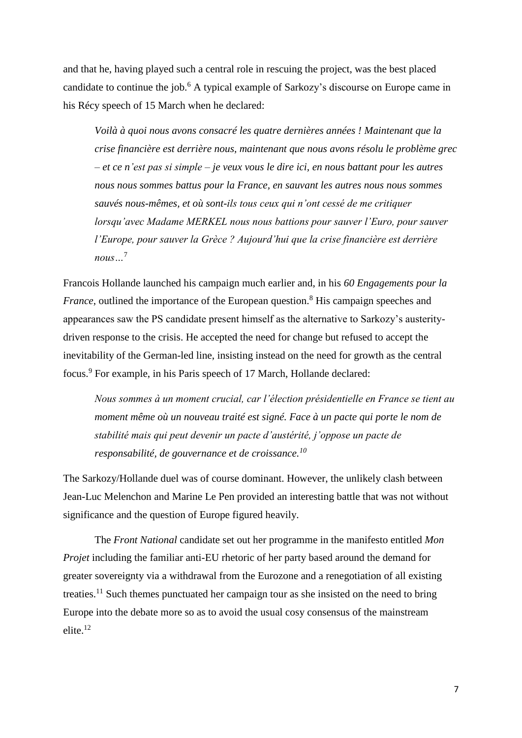and that he, having played such a central role in rescuing the project, was the best placed candidate to continue the job.<sup>6</sup> A typical example of Sarkozy's discourse on Europe came in his Récy speech of 15 March when he declared:

*Voilà à quoi nous avons consacré les quatre dernières années ! Maintenant que la crise financière est derrière nous, maintenant que nous avons résolu le problème grec – et ce n'est pas si simple – je veux vous le dire ici, en nous battant pour les autres nous nous sommes battus pour la France, en sauvant les autres nous nous sommes sauvés nous-mêmes, et où sont-ils tous ceux qui n'ont cessé de me critiquer lorsqu'avec Madame MERKEL nous nous battions pour sauver l'Euro, pour sauver l'Europe, pour sauver la Grèce ? Aujourd'hui que la crise financière est derrière nous…*<sup>7</sup>

Francois Hollande launched his campaign much earlier and, in his *60 Engagements pour la France*, outlined the importance of the European question.<sup>8</sup> His campaign speeches and appearances saw the PS candidate present himself as the alternative to Sarkozy's austeritydriven response to the crisis. He accepted the need for change but refused to accept the inevitability of the German-led line, insisting instead on the need for growth as the central focus.<sup>9</sup> For example, in his Paris speech of 17 March, Hollande declared:

*Nous sommes à un moment crucial, car l'élection présidentielle en France se tient au moment même où un nouveau traité est signé. Face à un pacte qui porte le nom de stabilité mais qui peut devenir un pacte d'austérité, j'oppose un pacte de responsabilité, de gouvernance et de croissance.<sup>10</sup>*

The Sarkozy/Hollande duel was of course dominant. However, the unlikely clash between Jean-Luc Melenchon and Marine Le Pen provided an interesting battle that was not without significance and the question of Europe figured heavily.

The *Front National* candidate set out her programme in the manifesto entitled *Mon Projet* including the familiar anti-EU rhetoric of her party based around the demand for greater sovereignty via a withdrawal from the Eurozone and a renegotiation of all existing treaties.<sup>11</sup> Such themes punctuated her campaign tour as she insisted on the need to bring Europe into the debate more so as to avoid the usual cosy consensus of the mainstream elite.<sup>12</sup>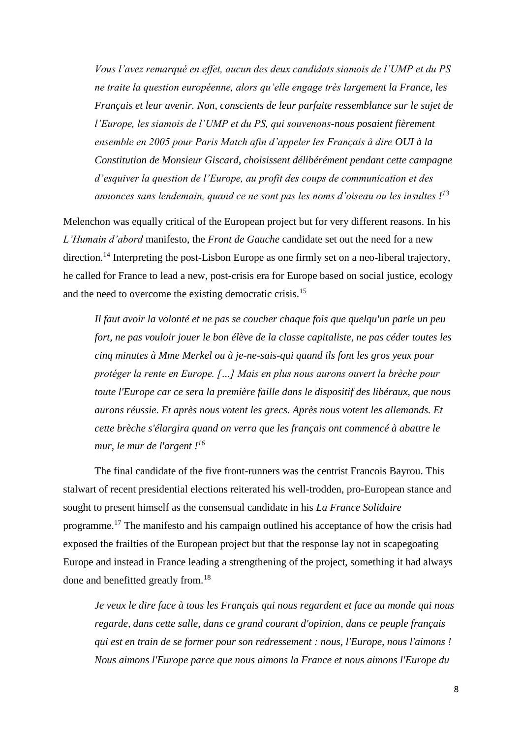*Vous l'avez remarqué en effet, aucun des deux candidats siamois de l'UMP et du PS ne traite la question européenne, alors qu'elle engage très largement la France, les Français et leur avenir. Non, conscients de leur parfaite ressemblance sur le sujet de l'Europe, les siamois de l'UMP et du PS, qui souvenons-nous posaient fièrement ensemble en 2005 pour Paris Match afin d'appeler les Français à dire OUI à la Constitution de Monsieur Giscard, choisissent délibérément pendant cette campagne d'esquiver la question de l'Europe, au profit des coups de communication et des annonces sans lendemain, quand ce ne sont pas les noms d'oiseau ou les insultes ! 13*

Melenchon was equally critical of the European project but for very different reasons. In his *L'Humain d'abord* manifesto, the *Front de Gauche* candidate set out the need for a new direction.<sup>14</sup> Interpreting the post-Lisbon Europe as one firmly set on a neo-liberal trajectory, he called for France to lead a new, post-crisis era for Europe based on social justice, ecology and the need to overcome the existing democratic crisis.<sup>15</sup>

*Il faut avoir la volonté et ne pas se coucher chaque fois que quelqu'un parle un peu fort, ne pas vouloir jouer le bon élève de la classe capitaliste, ne pas céder toutes les cinq minutes à Mme Merkel ou à je-ne-sais-qui quand ils font les gros yeux pour protéger la rente en Europe. […] Mais en plus nous aurons ouvert la brèche pour toute l'Europe car ce sera la première faille dans le dispositif des libéraux, que nous aurons réussie. Et après nous votent les grecs. Après nous votent les allemands. Et cette brèche s'élargira quand on verra que les français ont commencé à abattre le mur, le mur de l'argent ! 16*

The final candidate of the five front-runners was the centrist Francois Bayrou. This stalwart of recent presidential elections reiterated his well-trodden, pro-European stance and sought to present himself as the consensual candidate in his *La France Solidaire* programme.<sup>17</sup> The manifesto and his campaign outlined his acceptance of how the crisis had exposed the frailties of the European project but that the response lay not in scapegoating Europe and instead in France leading a strengthening of the project, something it had always done and benefitted greatly from.<sup>18</sup>

*Je veux le dire face à tous les Français qui nous regardent et face au monde qui nous regarde, dans cette salle, dans ce grand courant d'opinion, dans ce peuple français qui est en train de se former pour son redressement : nous, l'Europe, nous l'aimons ! Nous aimons l'Europe parce que nous aimons la France et nous aimons l'Europe du*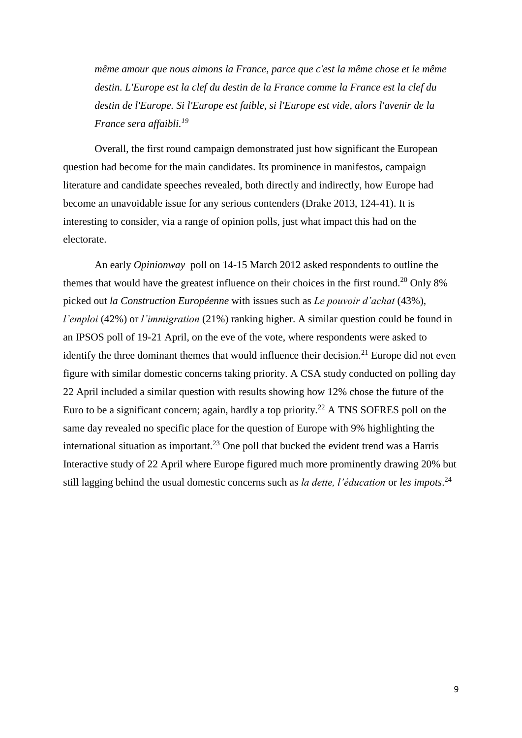*même amour que nous aimons la France, parce que c'est la même chose et le même destin. L'Europe est la clef du destin de la France comme la France est la clef du destin de l'Europe. Si l'Europe est faible, si l'Europe est vide, alors l'avenir de la France sera affaibli.<sup>19</sup>*

Overall, the first round campaign demonstrated just how significant the European question had become for the main candidates. Its prominence in manifestos, campaign literature and candidate speeches revealed, both directly and indirectly, how Europe had become an unavoidable issue for any serious contenders (Drake 2013, 124-41). It is interesting to consider, via a range of opinion polls, just what impact this had on the electorate.

An early *Opinionway* poll on 14-15 March 2012 asked respondents to outline the themes that would have the greatest influence on their choices in the first round.<sup>20</sup> Only 8% picked out *la Construction Européenne* with issues such as *Le pouvoir d'achat* (43%)*, l'emploi* (42%) or *l'immigration* (21%) ranking higher. A similar question could be found in an IPSOS poll of 19-21 April, on the eve of the vote, where respondents were asked to identify the three dominant themes that would influence their decision.<sup>21</sup> Europe did not even figure with similar domestic concerns taking priority. A CSA study conducted on polling day 22 April included a similar question with results showing how 12% chose the future of the Euro to be a significant concern; again, hardly a top priority.<sup>22</sup> A TNS SOFRES poll on the same day revealed no specific place for the question of Europe with 9% highlighting the international situation as important.<sup>23</sup> One poll that bucked the evident trend was a Harris Interactive study of 22 April where Europe figured much more prominently drawing 20% but still lagging behind the usual domestic concerns such as *la dette, l'éducation* or *les impots*. 24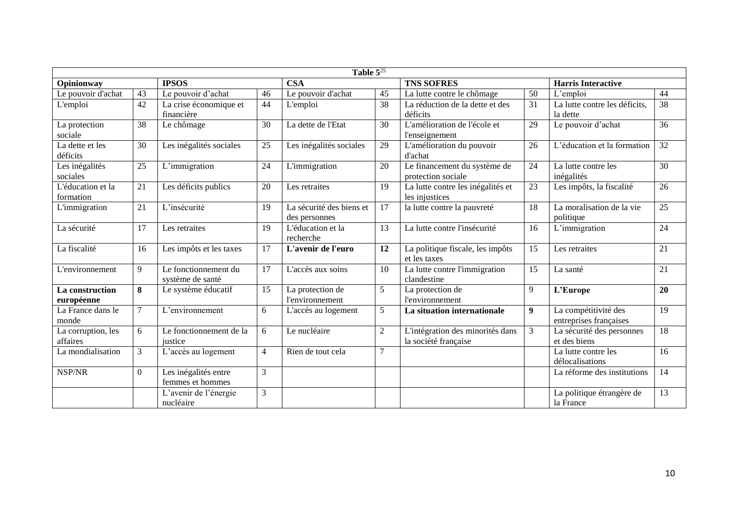| Table $5^{25}$     |                |                         |                |                          |                |                                   |                  |                               |                 |
|--------------------|----------------|-------------------------|----------------|--------------------------|----------------|-----------------------------------|------------------|-------------------------------|-----------------|
| Opinionway         |                | <b>IPSOS</b>            |                | <b>CSA</b>               |                | <b>TNS SOFRES</b>                 |                  | <b>Harris Interactive</b>     |                 |
| Le pouvoir d'achat | 43             | Le pouvoir d'achat      | 46             | Le pouvoir d'achat       | 45             | La lutte contre le chômage        | 50               | L'emploi                      | 44              |
| L'emploi           | 42             | La crise économique et  | 44             | L'emploi                 | 38             | La réduction de la dette et des   | 31               | La lutte contre les déficits, | 38              |
|                    |                | financière              |                |                          |                | déficits                          |                  | la dette                      |                 |
| La protection      | 38             | Le chômage              | 30             | La dette de l'Etat       | 30             | L'amélioration de l'école et      | 29               | Le pouvoir d'achat            | 36              |
| sociale            |                |                         |                |                          |                | l'enseignement                    |                  |                               |                 |
| La dette et les    | 30             | Les inégalités sociales | 25             | Les inégalités sociales  | 29             | L'amélioration du pouvoir         | 26               | L'éducation et la formation   | 32              |
| déficits           |                |                         |                |                          |                | d'achat                           |                  |                               |                 |
| Les inégalités     | 25             | L'immigration           | 24             | L'immigration            | 20             | Le financement du système de      | 24               | La lutte contre les           | 30              |
| sociales           |                |                         |                |                          |                | protection sociale                |                  | inégalités                    |                 |
| L'éducation et la  | 21             | Les déficits publics    | 20             | Les retraites            | 19             | La lutte contre les inégalités et | 23               | Les impôts, la fiscalité      | 26              |
| formation          |                |                         |                |                          |                | les injustices                    |                  |                               |                 |
| L'immigration      | 21             | L'insécurité            | 19             | La sécurité des biens et | 17             | la lutte contre la pauvreté       | 18               | La moralisation de la vie     | $\overline{25}$ |
|                    |                |                         |                | des personnes            |                |                                   |                  | politique                     |                 |
| La sécurité        | 17             | Les retraites           | 19             | L'éducation et la        | 13             | La lutte contre l'insécurité      | 16               | L'immigration                 | 24              |
|                    |                |                         |                | recherche                |                |                                   |                  |                               |                 |
| La fiscalité       | 16             | Les impôts et les taxes | 17             | L'avenir de l'euro       | 12             | La politique fiscale, les impôts  | 15               | Les retraites                 | $\overline{21}$ |
|                    |                |                         |                |                          |                | et les taxes                      |                  |                               |                 |
| L'environnement    | 9              | Le fonctionnement du    | 17             | L'accès aux soins        | 10             | La lutte contre l'immigration     | 15               | La santé                      | 21              |
|                    |                | système de santé        |                |                          |                | clandestine                       |                  |                               |                 |
| La construction    | 8              | Le système éducatif     | 15             | La protection de         | 5              | La protection de                  | 9                | L'Europe                      | 20              |
| européenne         |                |                         |                | l'environnement          |                | l'environnement                   |                  |                               |                 |
| La France dans le  | 7              | L'environnement         | 6              | L'accès au logement      | 5              | La situation internationale       | $\boldsymbol{9}$ | La compétitivité des          | $\overline{19}$ |
| monde              |                |                         |                |                          |                |                                   |                  | entreprises françaises        |                 |
| La corruption, les | 6              | Le fonctionnement de la | 6              | Le nucléaire             | $\overline{2}$ | L'intégration des minorités dans  | $\overline{3}$   | La sécurité des personnes     | 18              |
| affaires           |                | justice                 |                |                          |                | la société française              |                  | et des biens                  |                 |
| La mondialisation  | 3              | L'accès au logement     | $\overline{4}$ | Rien de tout cela        | 7              |                                   |                  | La lutte contre les           | 16              |
|                    |                |                         |                |                          |                |                                   |                  | délocalisations               |                 |
| NSP/NR             | $\overline{0}$ | Les inégalités entre    | 3              |                          |                |                                   |                  | La réforme des institutions   | 14              |
|                    |                | femmes et hommes        |                |                          |                |                                   |                  |                               |                 |
|                    |                | L'avenir de l'énergie   | 3              |                          |                |                                   |                  | La politique étrangère de     | 13              |
|                    |                | nucléaire               |                |                          |                |                                   |                  | la France                     |                 |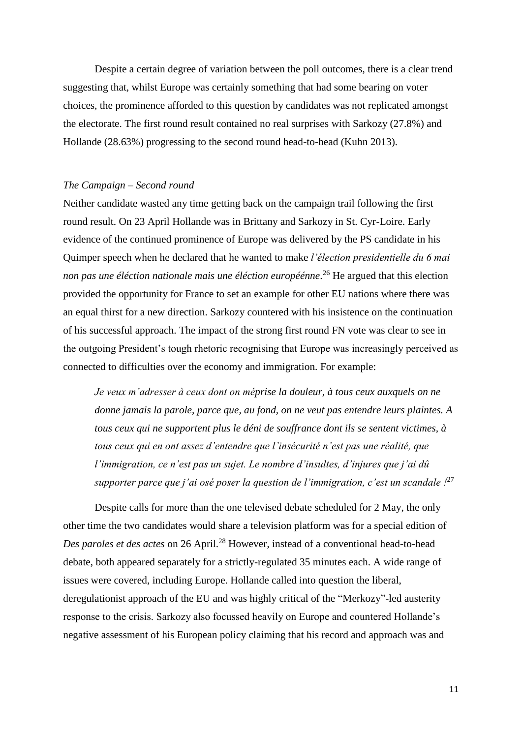Despite a certain degree of variation between the poll outcomes, there is a clear trend suggesting that, whilst Europe was certainly something that had some bearing on voter choices, the prominence afforded to this question by candidates was not replicated amongst the electorate. The first round result contained no real surprises with Sarkozy (27.8%) and Hollande (28.63%) progressing to the second round head-to-head (Kuhn 2013).

### *The Campaign – Second round*

Neither candidate wasted any time getting back on the campaign trail following the first round result. On 23 April Hollande was in Brittany and Sarkozy in St. Cyr-Loire. Early evidence of the continued prominence of Europe was delivered by the PS candidate in his Quimper speech when he declared that he wanted to make *l'élection presidentielle du 6 mai non pas une éléction nationale mais une éléction européénne*. <sup>26</sup> He argued that this election provided the opportunity for France to set an example for other EU nations where there was an equal thirst for a new direction. Sarkozy countered with his insistence on the continuation of his successful approach. The impact of the strong first round FN vote was clear to see in the outgoing President's tough rhetoric recognising that Europe was increasingly perceived as connected to difficulties over the economy and immigration. For example:

*Je veux m'adresser à ceux dont on méprise la douleur, à tous ceux auxquels on ne donne jamais la parole, parce que, au fond, on ne veut pas entendre leurs plaintes. A tous ceux qui ne supportent plus le déni de souffrance dont ils se sentent victimes, à tous ceux qui en ont assez d'entendre que l'insécurité n'est pas une réalité, que l'immigration, ce n'est pas un sujet. Le nombre d'insultes, d'injures que j'ai dû supporter parce que j'ai osé poser la question de l'immigration, c'est un scandale !*<sup>27</sup>

Despite calls for more than the one televised debate scheduled for 2 May, the only other time the two candidates would share a television platform was for a special edition of *Des paroles et des actes* on 26 April.<sup>28</sup> However, instead of a conventional head-to-head debate, both appeared separately for a strictly-regulated 35 minutes each. A wide range of issues were covered, including Europe. Hollande called into question the liberal, deregulationist approach of the EU and was highly critical of the "Merkozy"-led austerity response to the crisis. Sarkozy also focussed heavily on Europe and countered Hollande's negative assessment of his European policy claiming that his record and approach was and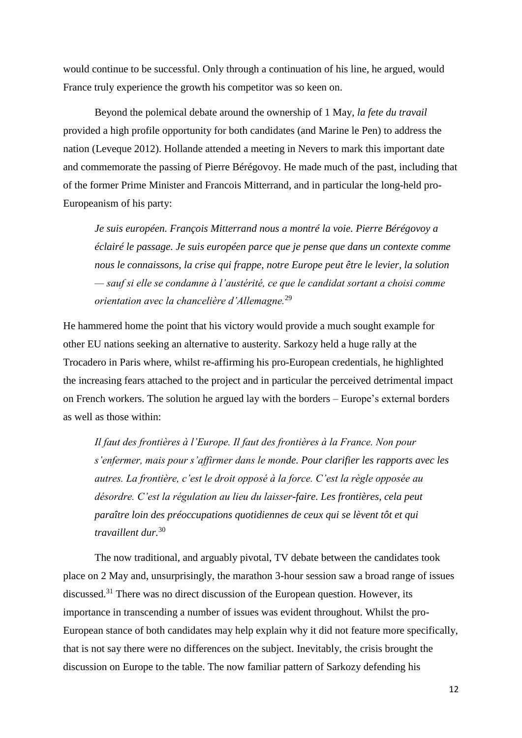would continue to be successful. Only through a continuation of his line, he argued, would France truly experience the growth his competitor was so keen on.

Beyond the polemical debate around the ownership of 1 May, *la fete du travail* provided a high profile opportunity for both candidates (and Marine le Pen) to address the nation (Leveque 2012). Hollande attended a meeting in Nevers to mark this important date and commemorate the passing of Pierre Bérégovoy. He made much of the past, including that of the former Prime Minister and Francois Mitterrand, and in particular the long-held pro-Europeanism of his party:

*Je suis européen. François Mitterrand nous a montré la voie. Pierre Bérégovoy a éclairé le passage. Je suis européen parce que je pense que dans un contexte comme nous le connaissons, la crise qui frappe, notre Europe peut être le levier, la solution — sauf si elle se condamne à l'austérité, ce que le candidat sortant a choisi comme orientation avec la chancelière d'Allemagne.*<sup>29</sup>

He hammered home the point that his victory would provide a much sought example for other EU nations seeking an alternative to austerity. Sarkozy held a huge rally at the Trocadero in Paris where, whilst re-affirming his pro-European credentials, he highlighted the increasing fears attached to the project and in particular the perceived detrimental impact on French workers. The solution he argued lay with the borders – Europe's external borders as well as those within:

*Il faut des frontières à l'Europe. Il faut des frontières à la France. Non pour s'enfermer, mais pour s'affirmer dans le monde. Pour clarifier les rapports avec les autres. La frontière, c'est le droit opposé à la force. C'est la règle opposée au désordre. C'est la régulation au lieu du laisser-faire. Les frontières, cela peut paraître loin des préoccupations quotidiennes de ceux qui se lèvent tôt et qui travaillent dur.*<sup>30</sup>

The now traditional, and arguably pivotal, TV debate between the candidates took place on 2 May and, unsurprisingly, the marathon 3-hour session saw a broad range of issues discussed.<sup>31</sup> There was no direct discussion of the European question. However, its importance in transcending a number of issues was evident throughout. Whilst the pro-European stance of both candidates may help explain why it did not feature more specifically, that is not say there were no differences on the subject. Inevitably, the crisis brought the discussion on Europe to the table. The now familiar pattern of Sarkozy defending his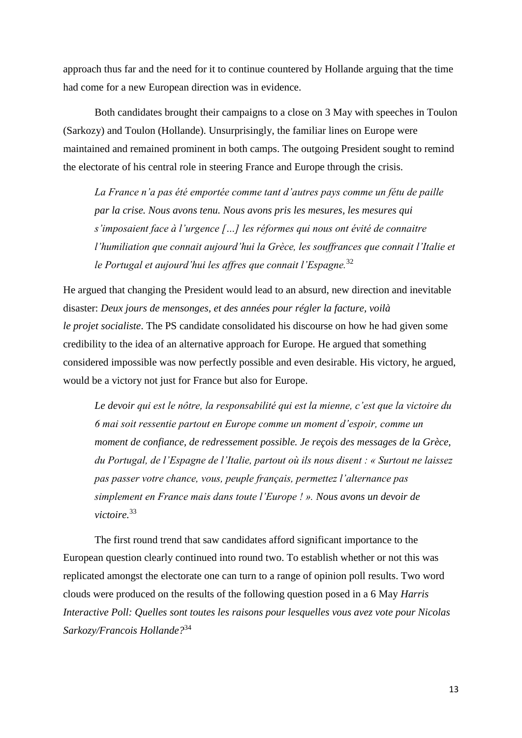approach thus far and the need for it to continue countered by Hollande arguing that the time had come for a new European direction was in evidence.

Both candidates brought their campaigns to a close on 3 May with speeches in Toulon (Sarkozy) and Toulon (Hollande). Unsurprisingly, the familiar lines on Europe were maintained and remained prominent in both camps. The outgoing President sought to remind the electorate of his central role in steering France and Europe through the crisis.

*La France n'a pas été emportée comme tant d'autres pays comme un fétu de paille par la crise. Nous avons tenu. Nous avons pris les mesures, les mesures qui s'imposaient face à l'urgence […] les réformes qui nous ont évité de connaitre l'humiliation que connait aujourd'hui la Grèce, les souffrances que connait l'Italie et le Portugal et aujourd'hui les affres que connait l'Espagne.*<sup>32</sup>

He argued that changing the President would lead to an absurd, new direction and inevitable disaster: *Deux jours de mensonges, et des années pour régler la facture, voilà le projet socialiste*. The PS candidate consolidated his discourse on how he had given some credibility to the idea of an alternative approach for Europe. He argued that something considered impossible was now perfectly possible and even desirable. His victory, he argued, would be a victory not just for France but also for Europe.

*Le devoir qui est le nôtre, la responsabilité qui est la mienne, c'est que la victoire du 6 mai soit ressentie partout en Europe comme un moment d'espoir, comme un moment de confiance, de redressement possible. Je reçois des messages de la Grèce, du Portugal, de l'Espagne de l'Italie, partout où ils nous disent : « Surtout ne laissez pas passer votre chance, vous, peuple français, permettez l'alternance pas simplement en France mais dans toute l'Europe ! ». Nous avons un devoir de victoire.*<sup>33</sup>

The first round trend that saw candidates afford significant importance to the European question clearly continued into round two. To establish whether or not this was replicated amongst the electorate one can turn to a range of opinion poll results. Two word clouds were produced on the results of the following question posed in a 6 May *Harris Interactive Poll: Quelles sont toutes les raisons pour lesquelles vous avez vote pour Nicolas Sarkozy/Francois Hollande?*<sup>34</sup>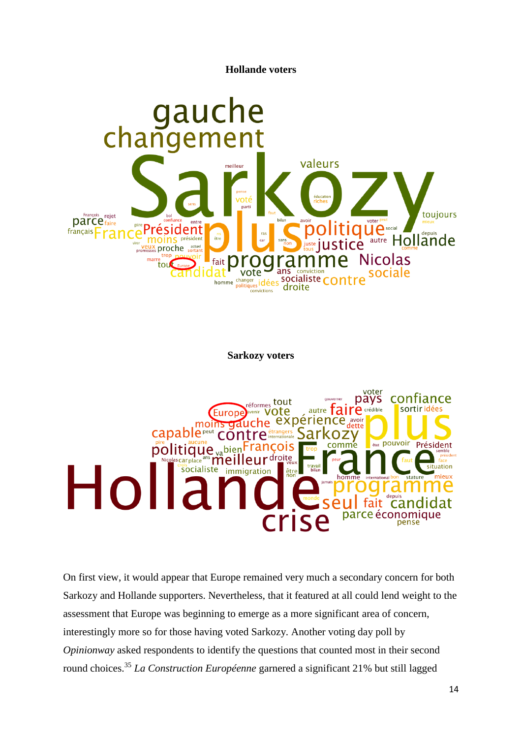**Hollande voters**



**Sarkozy voters**



On first view, it would appear that Europe remained very much a secondary concern for both Sarkozy and Hollande supporters. Nevertheless, that it featured at all could lend weight to the assessment that Europe was beginning to emerge as a more significant area of concern, interestingly more so for those having voted Sarkozy. Another voting day poll by *Opinionway* asked respondents to identify the questions that counted most in their second round choices.<sup>35</sup> *La Construction Européenne* garnered a significant 21% but still lagged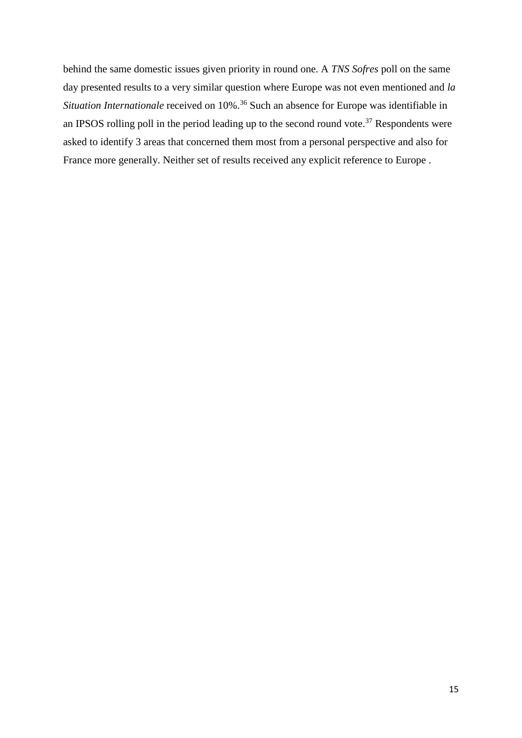behind the same domestic issues given priority in round one. A *TNS Sofres* poll on the same day presented results to a very similar question where Europe was not even mentioned and *la Situation Internationale* received on 10%.<sup>36</sup> Such an absence for Europe was identifiable in an IPSOS rolling poll in the period leading up to the second round vote.<sup>37</sup> Respondents were asked to identify 3 areas that concerned them most from a personal perspective and also for France more generally. Neither set of results received any explicit reference to Europe .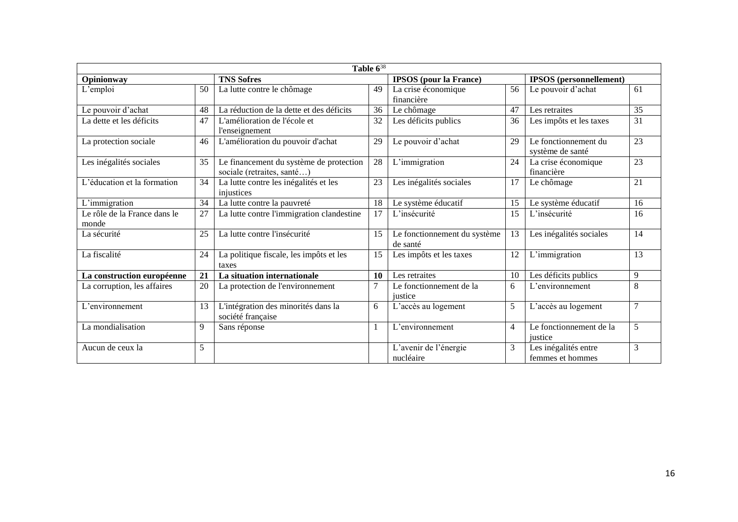| Table $6^{38}$                        |                 |                                                                       |                               |                                          |                                |                                          |                 |  |  |  |  |
|---------------------------------------|-----------------|-----------------------------------------------------------------------|-------------------------------|------------------------------------------|--------------------------------|------------------------------------------|-----------------|--|--|--|--|
| Opinionway                            |                 | <b>TNS Sofres</b>                                                     | <b>IPSOS</b> (pour la France) |                                          | <b>IPSOS</b> (personnellement) |                                          |                 |  |  |  |  |
| L'emploi                              | 50              | La lutte contre le chômage                                            |                               | La crise économique<br>financière        | 56                             | Le pouvoir d'achat                       | 61              |  |  |  |  |
| Le pouvoir d'achat                    | 48              | La réduction de la dette et des déficits<br>36                        |                               | Le chômage                               | 47                             | Les retraites                            | $\overline{35}$ |  |  |  |  |
| La dette et les déficits              | 47              | L'amélioration de l'école et<br><i>l'enseignement</i>                 | 32                            | Les déficits publics                     | 36                             | Les impôts et les taxes                  | 31              |  |  |  |  |
| La protection sociale                 | 46              | L'amélioration du pouvoir d'achat                                     |                               | Le pouvoir d'achat                       | 29                             | Le fonctionnement du<br>système de santé | 23              |  |  |  |  |
| Les inégalités sociales               | 35              | Le financement du système de protection<br>sociale (retraites, santé) | 28                            | L'immigration                            | 24                             | La crise économique<br>financière        | 23              |  |  |  |  |
| L'éducation et la formation           | 34              | La lutte contre les inégalités et les<br>injustices                   | 23                            | Les inégalités sociales                  | 17                             | Le chômage                               | 21              |  |  |  |  |
| L'immigration                         | 34              | La lutte contre la pauvreté                                           |                               | Le système éducatif                      | 15                             | Le système éducatif                      | 16              |  |  |  |  |
| Le rôle de la France dans le<br>monde | 27              | La lutte contre l'immigration clandestine                             | 17                            | L'insécurité                             | 15                             | L'insécurité                             | 16              |  |  |  |  |
| La sécurité                           | 25              | La lutte contre l'insécurité                                          |                               | Le fonctionnement du système<br>de santé | 13                             | Les inégalités sociales                  | 14              |  |  |  |  |
| La fiscalité                          | 24              | La politique fiscale, les impôts et les<br>taxes                      |                               | Les impôts et les taxes                  | 12                             | L'immigration                            | 13              |  |  |  |  |
| La construction européenne            | 21              | La situation internationale                                           | 10                            | Les retraites                            | 10                             | Les déficits publics                     | 9               |  |  |  |  |
| La corruption, les affaires           | $\overline{20}$ | La protection de l'environnement                                      | 7                             | Le fonctionnement de la<br>iustice       | 6                              | L'environnement                          | 8               |  |  |  |  |
| L'environnement                       | 13              | L'intégration des minorités dans la<br>société française              |                               | L'accès au logement                      | 5                              | L'accès au logement                      | $\overline{7}$  |  |  |  |  |
| La mondialisation                     | 9               | Sans réponse                                                          | 1                             | L'environnement                          | 4                              | Le fonctionnement de la<br>iustice       | 5               |  |  |  |  |
| Aucun de ceux la                      | 5               |                                                                       |                               | L'avenir de l'énergie                    | 3                              | Les inégalités entre                     | 3               |  |  |  |  |
|                                       |                 |                                                                       |                               | nucléaire                                |                                | femmes et hommes                         |                 |  |  |  |  |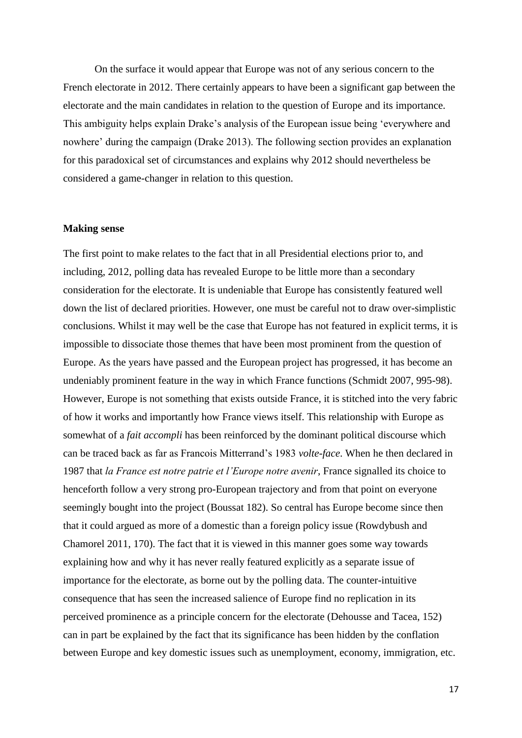On the surface it would appear that Europe was not of any serious concern to the French electorate in 2012. There certainly appears to have been a significant gap between the electorate and the main candidates in relation to the question of Europe and its importance. This ambiguity helps explain Drake's analysis of the European issue being 'everywhere and nowhere' during the campaign (Drake 2013). The following section provides an explanation for this paradoxical set of circumstances and explains why 2012 should nevertheless be considered a game-changer in relation to this question.

#### **Making sense**

The first point to make relates to the fact that in all Presidential elections prior to, and including, 2012, polling data has revealed Europe to be little more than a secondary consideration for the electorate. It is undeniable that Europe has consistently featured well down the list of declared priorities. However, one must be careful not to draw over-simplistic conclusions. Whilst it may well be the case that Europe has not featured in explicit terms, it is impossible to dissociate those themes that have been most prominent from the question of Europe. As the years have passed and the European project has progressed, it has become an undeniably prominent feature in the way in which France functions (Schmidt 2007, 995-98). However, Europe is not something that exists outside France, it is stitched into the very fabric of how it works and importantly how France views itself. This relationship with Europe as somewhat of a *fait accompli* has been reinforced by the dominant political discourse which can be traced back as far as Francois Mitterrand's 1983 *volte-face*. When he then declared in 1987 that *la France est notre patrie et l'Europe notre avenir*, France signalled its choice to henceforth follow a very strong pro-European trajectory and from that point on everyone seemingly bought into the project (Boussat 182). So central has Europe become since then that it could argued as more of a domestic than a foreign policy issue (Rowdybush and Chamorel 2011, 170). The fact that it is viewed in this manner goes some way towards explaining how and why it has never really featured explicitly as a separate issue of importance for the electorate, as borne out by the polling data. The counter-intuitive consequence that has seen the increased salience of Europe find no replication in its perceived prominence as a principle concern for the electorate (Dehousse and Tacea, 152) can in part be explained by the fact that its significance has been hidden by the conflation between Europe and key domestic issues such as unemployment, economy, immigration, etc.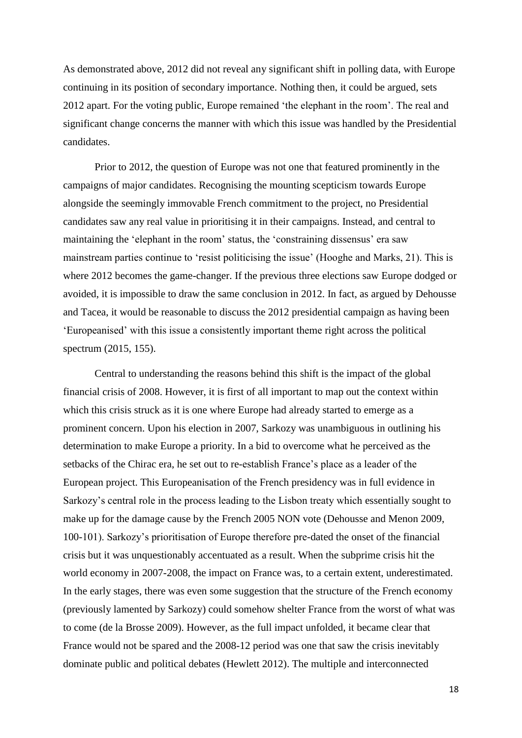As demonstrated above, 2012 did not reveal any significant shift in polling data, with Europe continuing in its position of secondary importance. Nothing then, it could be argued, sets 2012 apart. For the voting public, Europe remained 'the elephant in the room'. The real and significant change concerns the manner with which this issue was handled by the Presidential candidates.

Prior to 2012, the question of Europe was not one that featured prominently in the campaigns of major candidates. Recognising the mounting scepticism towards Europe alongside the seemingly immovable French commitment to the project, no Presidential candidates saw any real value in prioritising it in their campaigns. Instead, and central to maintaining the 'elephant in the room' status, the 'constraining dissensus' era saw mainstream parties continue to 'resist politicising the issue' (Hooghe and Marks, 21). This is where 2012 becomes the game-changer. If the previous three elections saw Europe dodged or avoided, it is impossible to draw the same conclusion in 2012. In fact, as argued by Dehousse and Tacea, it would be reasonable to discuss the 2012 presidential campaign as having been 'Europeanised' with this issue a consistently important theme right across the political spectrum (2015, 155).

Central to understanding the reasons behind this shift is the impact of the global financial crisis of 2008. However, it is first of all important to map out the context within which this crisis struck as it is one where Europe had already started to emerge as a prominent concern. Upon his election in 2007, Sarkozy was unambiguous in outlining his determination to make Europe a priority. In a bid to overcome what he perceived as the setbacks of the Chirac era, he set out to re-establish France's place as a leader of the European project. This Europeanisation of the French presidency was in full evidence in Sarkozy's central role in the process leading to the Lisbon treaty which essentially sought to make up for the damage cause by the French 2005 NON vote (Dehousse and Menon 2009, 100-101). Sarkozy's prioritisation of Europe therefore pre-dated the onset of the financial crisis but it was unquestionably accentuated as a result. When the subprime crisis hit the world economy in 2007-2008, the impact on France was, to a certain extent, underestimated. In the early stages, there was even some suggestion that the structure of the French economy (previously lamented by Sarkozy) could somehow shelter France from the worst of what was to come (de la Brosse 2009). However, as the full impact unfolded, it became clear that France would not be spared and the 2008-12 period was one that saw the crisis inevitably dominate public and political debates (Hewlett 2012). The multiple and interconnected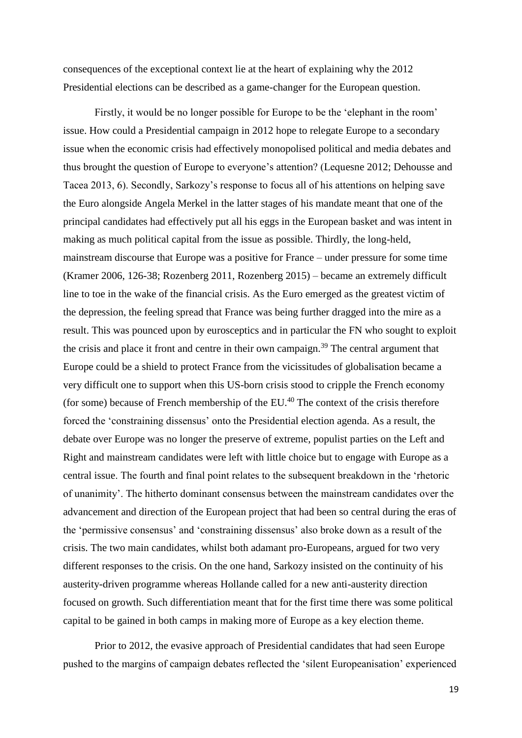consequences of the exceptional context lie at the heart of explaining why the 2012 Presidential elections can be described as a game-changer for the European question.

Firstly, it would be no longer possible for Europe to be the 'elephant in the room' issue. How could a Presidential campaign in 2012 hope to relegate Europe to a secondary issue when the economic crisis had effectively monopolised political and media debates and thus brought the question of Europe to everyone's attention? (Lequesne 2012; Dehousse and Tacea 2013, 6). Secondly, Sarkozy's response to focus all of his attentions on helping save the Euro alongside Angela Merkel in the latter stages of his mandate meant that one of the principal candidates had effectively put all his eggs in the European basket and was intent in making as much political capital from the issue as possible. Thirdly, the long-held, mainstream discourse that Europe was a positive for France – under pressure for some time (Kramer 2006, 126-38; Rozenberg 2011, Rozenberg 2015) – became an extremely difficult line to toe in the wake of the financial crisis. As the Euro emerged as the greatest victim of the depression, the feeling spread that France was being further dragged into the mire as a result. This was pounced upon by eurosceptics and in particular the FN who sought to exploit the crisis and place it front and centre in their own campaign.<sup>39</sup> The central argument that Europe could be a shield to protect France from the vicissitudes of globalisation became a very difficult one to support when this US-born crisis stood to cripple the French economy (for some) because of French membership of the EU.<sup>40</sup> The context of the crisis therefore forced the 'constraining dissensus' onto the Presidential election agenda. As a result, the debate over Europe was no longer the preserve of extreme, populist parties on the Left and Right and mainstream candidates were left with little choice but to engage with Europe as a central issue. The fourth and final point relates to the subsequent breakdown in the 'rhetoric of unanimity'. The hitherto dominant consensus between the mainstream candidates over the advancement and direction of the European project that had been so central during the eras of the 'permissive consensus' and 'constraining dissensus' also broke down as a result of the crisis. The two main candidates, whilst both adamant pro-Europeans, argued for two very different responses to the crisis. On the one hand, Sarkozy insisted on the continuity of his austerity-driven programme whereas Hollande called for a new anti-austerity direction focused on growth. Such differentiation meant that for the first time there was some political capital to be gained in both camps in making more of Europe as a key election theme.

Prior to 2012, the evasive approach of Presidential candidates that had seen Europe pushed to the margins of campaign debates reflected the 'silent Europeanisation' experienced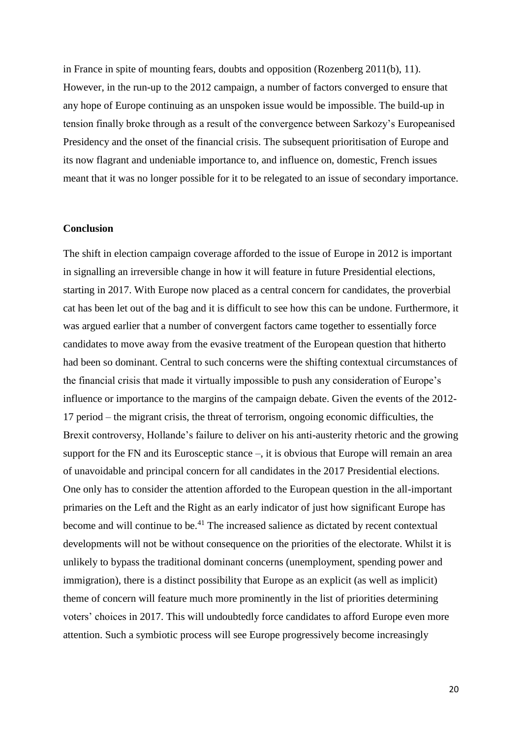in France in spite of mounting fears, doubts and opposition (Rozenberg 2011(b), 11). However, in the run-up to the 2012 campaign, a number of factors converged to ensure that any hope of Europe continuing as an unspoken issue would be impossible. The build-up in tension finally broke through as a result of the convergence between Sarkozy's Europeanised Presidency and the onset of the financial crisis. The subsequent prioritisation of Europe and its now flagrant and undeniable importance to, and influence on, domestic, French issues meant that it was no longer possible for it to be relegated to an issue of secondary importance.

## **Conclusion**

The shift in election campaign coverage afforded to the issue of Europe in 2012 is important in signalling an irreversible change in how it will feature in future Presidential elections, starting in 2017. With Europe now placed as a central concern for candidates, the proverbial cat has been let out of the bag and it is difficult to see how this can be undone. Furthermore, it was argued earlier that a number of convergent factors came together to essentially force candidates to move away from the evasive treatment of the European question that hitherto had been so dominant. Central to such concerns were the shifting contextual circumstances of the financial crisis that made it virtually impossible to push any consideration of Europe's influence or importance to the margins of the campaign debate. Given the events of the 2012- 17 period – the migrant crisis, the threat of terrorism, ongoing economic difficulties, the Brexit controversy, Hollande's failure to deliver on his anti-austerity rhetoric and the growing support for the FN and its Eurosceptic stance –, it is obvious that Europe will remain an area of unavoidable and principal concern for all candidates in the 2017 Presidential elections. One only has to consider the attention afforded to the European question in the all-important primaries on the Left and the Right as an early indicator of just how significant Europe has become and will continue to be.<sup>41</sup> The increased salience as dictated by recent contextual developments will not be without consequence on the priorities of the electorate. Whilst it is unlikely to bypass the traditional dominant concerns (unemployment, spending power and immigration), there is a distinct possibility that Europe as an explicit (as well as implicit) theme of concern will feature much more prominently in the list of priorities determining voters' choices in 2017. This will undoubtedly force candidates to afford Europe even more attention. Such a symbiotic process will see Europe progressively become increasingly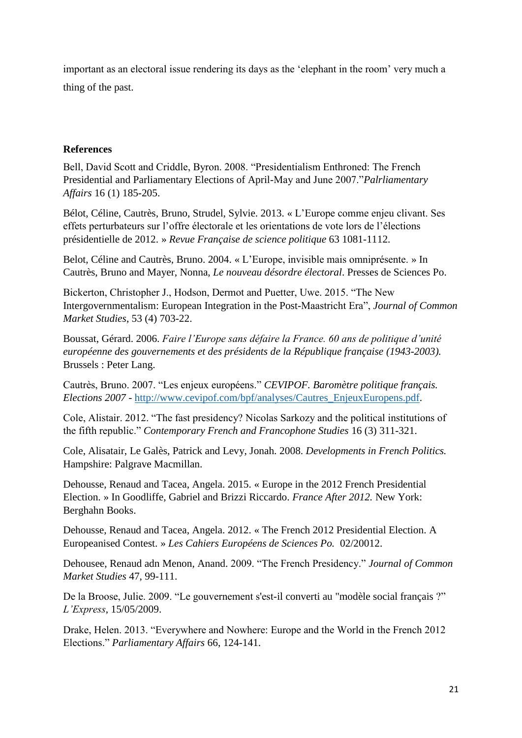important as an electoral issue rendering its days as the 'elephant in the room' very much a thing of the past.

# **References**

Bell, David Scott and Criddle, Byron. 2008. "Presidentialism Enthroned: The French Presidential and Parliamentary Elections of April-May and June 2007."*Palrliamentary Affairs* 16 (1) 185-205.

Bélot, Céline, Cautrès, Bruno, Strudel, Sylvie. 2013. « L'Europe comme enjeu clivant. Ses effets perturbateurs sur l'offre électorale et les orientations de vote lors de l'élections présidentielle de 2012. » *Revue Française de science politique* 63 1081-1112.

Belot, Céline and Cautrès, Bruno. 2004. « L'Europe, invisible mais omniprésente. » In Cautrès, Bruno and Mayer, Nonna, *Le nouveau désordre électoral*. Presses de Sciences Po.

Bickerton, Christopher J., Hodson, Dermot and Puetter, Uwe. 2015. "The New Intergovernmentalism: European Integration in the Post-Maastricht Era", *Journal of Common Market Studies*, 53 (4) 703-22.

Boussat, Gérard. 2006. *Faire l'Europe sans défaire la France. 60 ans de politique d'unité européenne des gouvernements et des présidents de la République française (1943-2003).* Brussels : Peter Lang.

Cautrès, Bruno. 2007. "Les enjeux européens." *CEVIPOF. Baromètre politique français. Elections 2007* - [http://www.cevipof.com/bpf/analyses/Cautres\\_EnjeuxEuropens.pdf.](http://www.cevipof.com/bpf/analyses/Cautres_EnjeuxEuropens.pdf)

Cole, Alistair. 2012. "The fast presidency? Nicolas Sarkozy and the political institutions of the fifth republic." *Contemporary French and Francophone Studies* 16 (3) 311-321.

Cole, Alisatair, Le Galès, Patrick and Levy, Jonah. 2008. *Developments in French Politics.* Hampshire: Palgrave Macmillan.

Dehousse, Renaud and Tacea, Angela. 2015. « Europe in the 2012 French Presidential Election. » In Goodliffe, Gabriel and Brizzi Riccardo. *France After 2012.* New York: Berghahn Books.

Dehousse, Renaud and Tacea, Angela. 2012. « The French 2012 Presidential Election. A Europeanised Contest. » *Les Cahiers Européens de Sciences Po.* 02/20012.

Dehousee, Renaud adn Menon, Anand. 2009. "The French Presidency." *Journal of Common Market Studies* 47, 99-111.

De la Broose, Julie. 2009. "Le gouvernement s'est-il converti au "modèle social français ?" *L'Express*, 15/05/2009.

Drake, Helen. 2013. "Everywhere and Nowhere: Europe and the World in the French 2012 Elections." *Parliamentary Affairs* 66, 124-141.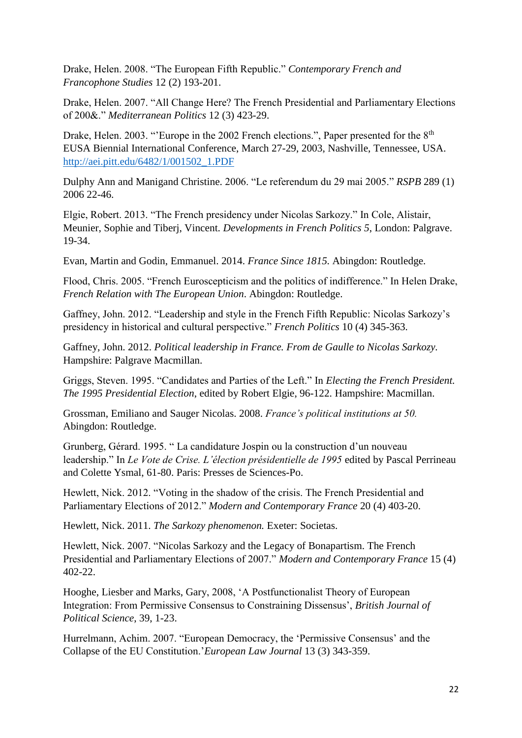Drake, Helen. 2008. "The European Fifth Republic." *Contemporary French and Francophone Studies* 12 (2) 193-201.

Drake, Helen. 2007. "All Change Here? The French Presidential and Parliamentary Elections of 200&." *Mediterranean Politics* 12 (3) 423-29.

Drake, Helen. 2003. "'Europe in the 2002 French elections.". Paper presented for the 8<sup>th</sup> EUSA Biennial International Conference, March 27-29, 2003, Nashville, Tennessee, USA. [http://aei.pitt.edu/6482/1/001502\\_1.PDF](http://aei.pitt.edu/6482/1/001502_1.PDF)

Dulphy Ann and Manigand Christine. 2006. "Le referendum du 29 mai 2005." *RSPB* 289 (1) 2006 22-46.

Elgie, Robert. 2013. "The French presidency under Nicolas Sarkozy." In Cole, Alistair, Meunier, Sophie and Tiberj, Vincent. *Developments in French Politics 5*, London: Palgrave. 19-34.

Evan, Martin and Godin, Emmanuel. 2014. *France Since 1815.* Abingdon: Routledge.

Flood, Chris. 2005. "French Euroscepticism and the politics of indifference." In Helen Drake, *French Relation with The European Union*. Abingdon: Routledge.

Gaffney, John. 2012. "Leadership and style in the French Fifth Republic: Nicolas Sarkozy's presidency in historical and cultural perspective." *French Politics* 10 (4) 345-363.

Gaffney, John. 2012. *Political leadership in France. From de Gaulle to Nicolas Sarkozy.* Hampshire: Palgrave Macmillan.

Griggs, Steven. 1995. "Candidates and Parties of the Left." In *Electing the French President. The 1995 Presidential Election*, edited by Robert Elgie, 96-122. Hampshire: Macmillan.

Grossman, Emiliano and Sauger Nicolas. 2008. *France's political institutions at 50.* Abingdon: Routledge.

Grunberg, Gérard. 1995. " La candidature Jospin ou la construction d'un nouveau leadership." In *Le Vote de Crise. L'élection présidentielle de 1995* edited by Pascal Perrineau and Colette Ysmal, 61-80. Paris: Presses de Sciences-Po.

Hewlett, Nick. 2012. "Voting in the shadow of the crisis. The French Presidential and Parliamentary Elections of 2012." *Modern and Contemporary France* 20 (4) 403-20.

Hewlett, Nick. 2011. *The Sarkozy phenomenon.* Exeter: Societas.

Hewlett, Nick. 2007. "Nicolas Sarkozy and the Legacy of Bonapartism. The French Presidential and Parliamentary Elections of 2007." *Modern and Contemporary France* 15 (4) 402-22.

Hooghe, Liesber and Marks, Gary, 2008, 'A Postfunctionalist Theory of European Integration: From Permissive Consensus to Constraining Dissensus', *British Journal of Political Science*, 39, 1-23.

Hurrelmann, Achim. 2007. "European Democracy, the 'Permissive Consensus' and the Collapse of the EU Constitution.'*European Law Journal* 13 (3) 343-359.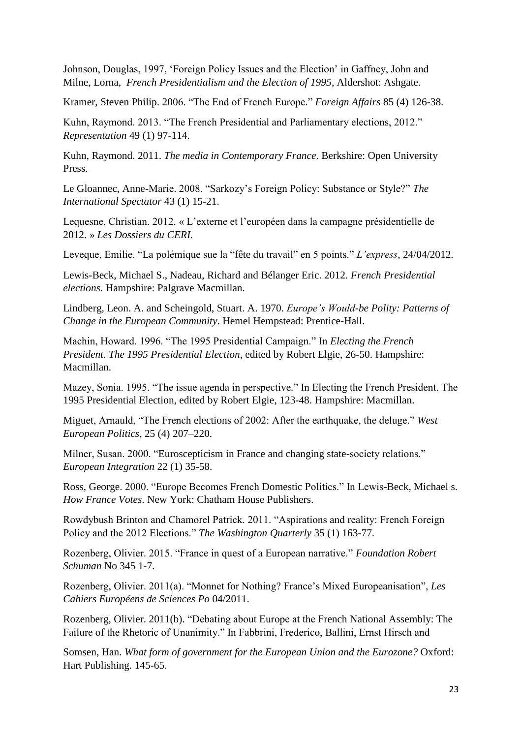Johnson, Douglas, 1997, 'Foreign Policy Issues and the Election' in Gaffney, John and Milne, Lorna, *French Presidentialism and the Election of 1995*, Aldershot: Ashgate.

Kramer, Steven Philip. 2006. "The End of French Europe." *Foreign Affairs* 85 (4) 126-38.

Kuhn, Raymond. 2013. "The French Presidential and Parliamentary elections, 2012." *Representation* 49 (1) 97-114.

Kuhn, Raymond. 2011. *The media in Contemporary France*. Berkshire: Open University Press.

Le Gloannec, Anne-Marie. 2008. "Sarkozy's Foreign Policy: Substance or Style?" *The International Spectator* 43 (1) 15-21.

Lequesne, Christian. 2012. « L'externe et l'européen dans la campagne présidentielle de 2012. » *Les Dossiers du CERI.* 

Leveque, Emilie. "La polémique sue la "fête du travail" en 5 points." *L'express*, 24/04/2012.

Lewis-Beck, Michael S., Nadeau, Richard and Bélanger Eric. 2012. *French Presidential elections.* Hampshire: Palgrave Macmillan.

Lindberg, Leon. A. and Scheingold, Stuart. A. 1970. *Europe's Would-be Polity: Patterns of Change in the European Community*. Hemel Hempstead: Prentice-Hall.

Machin, Howard. 1996. "The 1995 Presidential Campaign." In *Electing the French President. The 1995 Presidential Election*, edited by Robert Elgie, 26-50. Hampshire: Macmillan.

Mazey, Sonia. 1995. "The issue agenda in perspective." In Electing the French President. The 1995 Presidential Election, edited by Robert Elgie, 123-48. Hampshire: Macmillan.

Miguet, Arnauld, "The French elections of 2002: After the earthquake, the deluge." *West European Politics*, 25 (4) 207–220.

Milner, Susan. 2000. "Euroscepticism in France and changing state-society relations." *European Integration* 22 (1) 35-58.

Ross, George. 2000. "Europe Becomes French Domestic Politics." In Lewis-Beck, Michael s. *How France Votes*. New York: Chatham House Publishers.

Rowdybush Brinton and Chamorel Patrick. 2011. "Aspirations and reality: French Foreign Policy and the 2012 Elections." *The Washington Quarterly* 35 (1) 163-77.

Rozenberg, Olivier. 2015. "France in quest of a European narrative." *Foundation Robert Schuman* No 345 1-7.

Rozenberg, Olivier. 2011(a). "Monnet for Nothing? France's Mixed Europeanisation", *Les Cahiers Européens de Sciences Po* 04/2011.

Rozenberg, Olivier. 2011(b). "Debating about Europe at the French National Assembly: The Failure of the Rhetoric of Unanimity." In Fabbrini, Frederico, Ballini, Ernst Hirsch and

Somsen, Han. *What form of government for the European Union and the Eurozone?* Oxford: Hart Publishing. 145-65.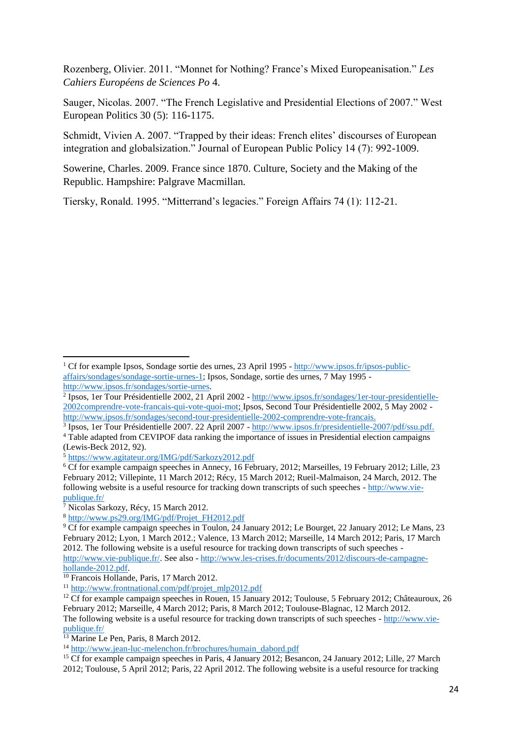Rozenberg, Olivier. 2011. "Monnet for Nothing? France's Mixed Europeanisation." *Les Cahiers Européens de Sciences Po* 4.

Sauger, Nicolas. 2007. "The French Legislative and Presidential Elections of 2007." West European Politics 30 (5): 116-1175.

Schmidt, Vivien A. 2007. "Trapped by their ideas: French elites' discourses of European integration and globalsization." Journal of European Public Policy 14 (7): 992-1009.

Sowerine, Charles. 2009. France since 1870. Culture, Society and the Making of the Republic. Hampshire: Palgrave Macmillan.

Tiersky, Ronald. 1995. "Mitterrand's legacies." Foreign Affairs 74 (1): 112-21.

<sup>7</sup> Nicolas Sarkozy, Récy, 15 March 2012.

1

<sup>8</sup> [http://www.ps29.org/IMG/pdf/Projet\\_FH2012.pdf](http://www.ps29.org/IMG/pdf/Projet_FH2012.pdf)

<sup>&</sup>lt;sup>1</sup> Cf for example Ipsos, Sondage sortie des urnes, 23 April 1995 - [http://www.ipsos.fr/ipsos-public](http://www.ipsos.fr/ipsos-public-affairs/sondages/sondage-sortie-urnes-1)[affairs/sondages/sondage-sortie-urnes-1;](http://www.ipsos.fr/ipsos-public-affairs/sondages/sondage-sortie-urnes-1) Ipsos, Sondage, sortie des urnes, 7 May 1995 [http://www.ipsos.fr/sondages/sortie-urnes.](http://www.ipsos.fr/sondages/sortie-urnes)

<sup>&</sup>lt;sup>2</sup> Ipsos, 1er Tour Présidentielle 2002, 21 April 2002 - [http://www.ipsos.fr/sondages/1er-tour-presidentielle-](http://www.ipsos.fr/sondages/1er-tour-presidentielle-2002comprendre-vote-francais-qui-vote-quoi-mot)[2002comprendre-vote-francais-qui-vote-quoi-mot;](http://www.ipsos.fr/sondages/1er-tour-presidentielle-2002comprendre-vote-francais-qui-vote-quoi-mot) Ipsos, Second Tour Présidentielle 2002, 5 May 2002 [http://www.ipsos.fr/sondages/second-tour-presidentielle-2002-comprendre-vote-francais.](http://www.ipsos.fr/sondages/second-tour-presidentielle-2002-comprendre-vote-francais)

<sup>3</sup> Ipsos, 1er Tour Présidentielle 2007. 22 April 2007 - [http://www.ipsos.fr/presidentielle-2007/pdf/ssu.pdf.](http://www.ipsos.fr/presidentielle-2007/pdf/ssu.pdf) <sup>4</sup> Table adapted from CEVIPOF data ranking the importance of issues in Presidential election campaigns (Lewis-Beck 2012, 92).

<sup>5</sup> <https://www.agitateur.org/IMG/pdf/Sarkozy2012.pdf>

<sup>6</sup> Cf for example campaign speeches in Annecy, 16 February, 2012; Marseilles, 19 February 2012; Lille, 23 February 2012; Villepinte, 11 March 2012; Récy, 15 March 2012; Rueil-Malmaison, 24 March, 2012. The following website is a useful resource for tracking down transcripts of such speeches - [http://www.vie-](http://www.vie-publique.fr/) $\frac{1}{7}$  with with  $\frac{1}{7}$  with  $\frac{1}{7}$  with  $\frac{1}{7}$  with  $\frac{1}{7}$  with  $\frac{1}{7}$  with  $\frac{1}{7}$  with  $\frac{1}{7}$  with  $\frac{1}{7}$  with  $\frac{1}{7}$  with  $\frac{1}{7}$  with  $\frac{1}{7}$  with  $\frac{1}{7}$  with  $\frac{1}{7}$  with  $\frac{1}{$ 

<sup>9</sup> Cf for example campaign speeches in Toulon, 24 January 2012; Le Bourget, 22 January 2012; Le Mans, 23 February 2012; Lyon, 1 March 2012.; Valence, 13 March 2012; Marseille, 14 March 2012; Paris, 17 March 2012. The following website is a useful resource for tracking down transcripts of such speeches [http://www.vie-publique.fr/.](http://www.vie-publique.fr/) See also - [http://www.les-crises.fr/documents/2012/discours-de-campagne](http://www.les-crises.fr/documents/2012/discours-de-campagne-hollande-2012.pdf)[hollande-2012.pdf.](http://www.les-crises.fr/documents/2012/discours-de-campagne-hollande-2012.pdf)

<sup>10</sup> Francois Hollande, Paris, 17 March 2012.

<sup>11</sup> [http://www.frontnational.com/pdf/projet\\_mlp2012.pdf](http://www.frontnational.com/pdf/projet_mlp2012.pdf)

<sup>&</sup>lt;sup>12</sup> Cf for example campaign speeches in Rouen, 15 January 2012; Toulouse, 5 February 2012; Châteauroux, 26 February 2012; Marseille, 4 March 2012; Paris, 8 March 2012; Toulouse-Blagnac, 12 March 2012. The following website is a useful resource for tracking down transcripts of such speeches - [http://www.vie](http://www.vie-publique.fr/)[publique.fr/](http://www.vie-publique.fr/)

<sup>&</sup>lt;sup>13</sup> Marine Le Pen, Paris, 8 March 2012.

<sup>&</sup>lt;sup>14</sup> [http://www.jean-luc-melenchon.fr/brochures/humain\\_dabord.pdf](http://www.jean-luc-melenchon.fr/brochures/humain_dabord.pdf)

<sup>&</sup>lt;sup>15</sup> Cf for example campaign speeches in Paris, 4 January 2012; Besancon, 24 January 2012; Lille, 27 March 2012; Toulouse, 5 April 2012; Paris, 22 April 2012. The following website is a useful resource for tracking